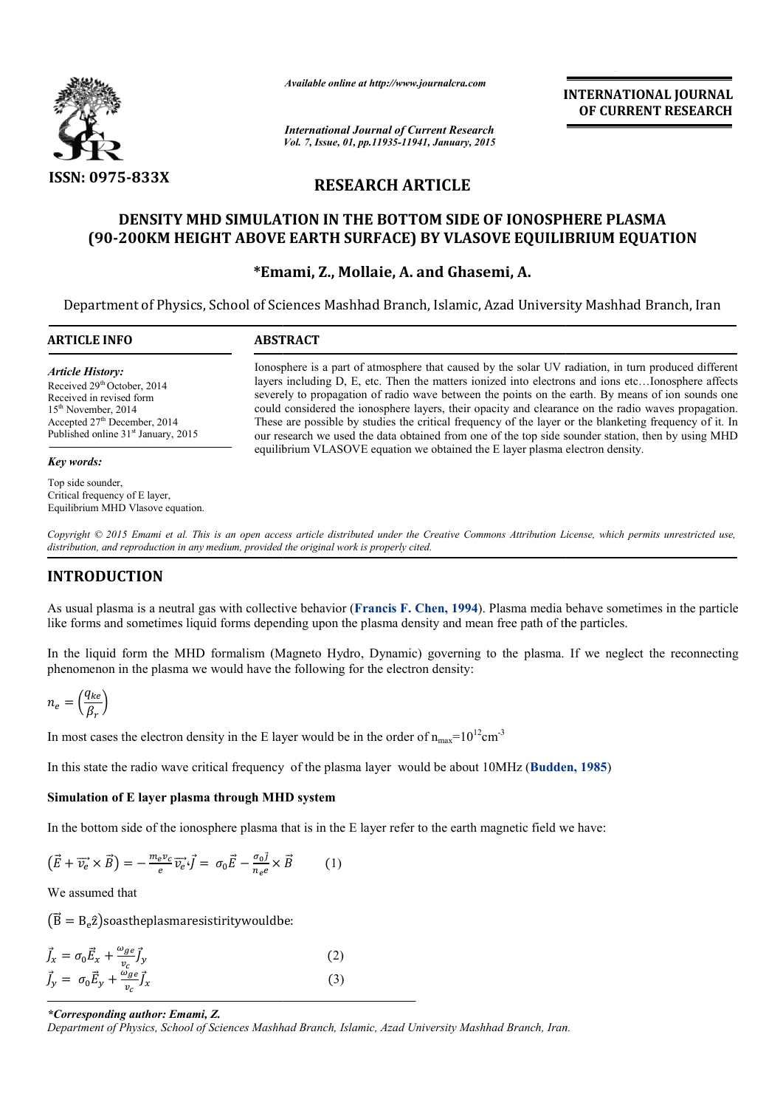

*Available online at http://www.journalcra.com*

**INTERNATIONAL INTERNATIONAL JOURNAL OF CURRENT RESEARCH** 

*International Journal of Current Research Vol. 7, Issue, 01, pp.11935-11941, January, 2015*

# **RESEARCH ARTICLE**

# **DENSITY MHD SIMULATION IN THE BOTTOM SIDE OF IONOSPHERE PLASMA (90-200KM HEIGHT ABOVE EARTH SURFACE) BY VLASOVE EQUILIBRIUM EQUATION 200KM Emami, Z., Mollaie, A. and Ghasemi, A.** DENSITY MHD SIMULATION IN THE BOTTOM SIDE OF IONOSPHERE PLASMA<br>200KM HEIGHT ABOVE EARTH SURFACE) BY VLASOVE EQUILIBRIUM EQUATION

### **\*Emami, Z.**

Department of Physics, School of Sciences Mashhad Branch, Islamic, Azad University Mashhad Branch, Azad University Mashhad Branch, Iran

| <b>ARTICLE INFO</b>                                                                                                                                                                              | <b>ABSTRACT</b>                                                                                                                                                                                                                                                                                                                                                                                                                                                                                                                                                                                                                         |
|--------------------------------------------------------------------------------------------------------------------------------------------------------------------------------------------------|-----------------------------------------------------------------------------------------------------------------------------------------------------------------------------------------------------------------------------------------------------------------------------------------------------------------------------------------------------------------------------------------------------------------------------------------------------------------------------------------------------------------------------------------------------------------------------------------------------------------------------------------|
| <b>Article History:</b><br>Received 29th October, 2014<br>Received in revised form<br>$15th$ November, 2014<br>Accepted $27th$ December, 2014<br>Published online 31 <sup>st</sup> January, 2015 | Ionosphere is a part of atmosphere that caused by the solar UV radiation, in turn produced different<br>layers including D, E, etc. Then the matters ionized into electrons and ions etcIonosphere affects<br>severely to propagation of radio wave between the points on the earth. By means of ion sounds one<br>could considered the ionosphere layers, their opacity and clearance on the radio waves propagation.<br>These are possible by studies the critical frequency of the layer or the blanketing frequency of it. In<br>our research we used the data obtained from one of the top side sounder station, then by using MHD |
| Key words:                                                                                                                                                                                       | equilibrium VLASOVE equation we obtained the E layer plasma electron density.                                                                                                                                                                                                                                                                                                                                                                                                                                                                                                                                                           |
| Top side sounder,                                                                                                                                                                                |                                                                                                                                                                                                                                                                                                                                                                                                                                                                                                                                                                                                                                         |

Copyright © 2015 *Emami et al. This is an open access article distributed under the Creative Commons Attribution License, which permits unrestricted use, distribution, and reproduction in any medium, provided the original work is properly cited.*

## **INTRODUCTION**

Critical frequency of E layer, Equilibrium MHD Vlasove equation.

As usual plasma is a neutral gas with collective behavior (**Francis F. Chen, 1994**). Plasma media behave sometimes in the particle like forms and sometimes liquid forms depending upon the plasma density and mean free path of the particles. As usual plasma is a neutral gas with collective behavior (**Francis F. Chen, 1994**). Plasma media behave sometimes in the particle like forms and sometimes liquid forms depending upon the plasma density and mean free path

phenomenon in the plasma we would have the following for the electron density:

$$
n_e = \left(\frac{q_{ke}}{\beta_r}\right)
$$

In most cases the electron density in the E layer would be in the order of  $n_{max}=10^{12}$ cm<sup>-3</sup>

In this state the radio wave critical frequency of the plasma layer would be about 10MHz (**Budden, 1985 1985**)

#### **Simulation of E layer plasma through MHD system**

In the bottom side of the ionosphere plasma that is in the  $E$  layer refer to the earth magnetic field we have:

$$
(\vec{E} + \vec{v_e} \times \vec{B}) = -\frac{m_e v_c}{e} \vec{v_e} \cdot \vec{f} = \sigma_0 \vec{E} - \frac{\sigma_0 \vec{j}}{n_e e} \times \vec{B}
$$
 (1)

We assumed that

 $\left(\vec{B} = B_e \hat{z}\right)$ soastheplasmaresistiritywouldbe:

$$
\vec{J}_x = \sigma_0 \vec{E}_x + \frac{\omega_{ge}}{v_c} \vec{J}_y
$$
\n
$$
\vec{J}_y = \sigma_0 \vec{E}_y + \frac{\omega_{ge}}{v_c} \vec{J}_x
$$
\n(2)

*\*Corresponding author: Emami, Z.*

*Department of Physics, School of Sciences Mashhad Branch, Isl Islamic, Azad University Mashhad Branch, Iran amic, Mashhad Branch, Iran.*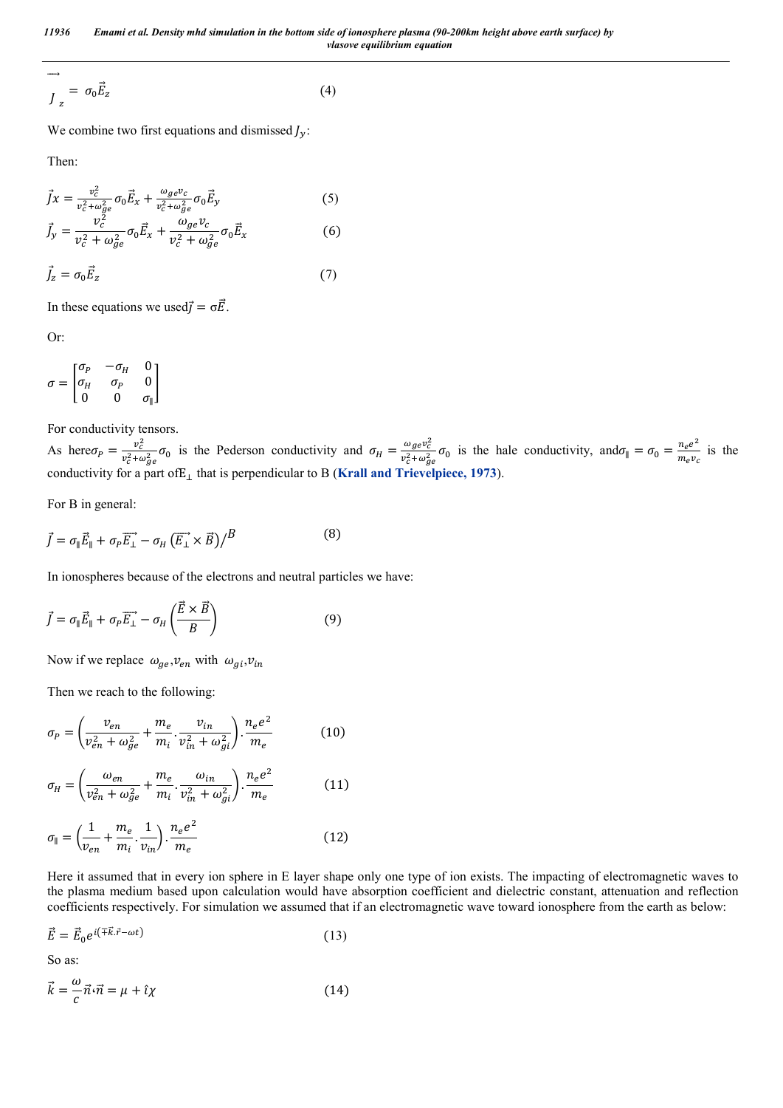*11936 Emami et al. Density mhd simulation in the bottom side of ionosphere plasma (90-200km height above earth surface) by vlasove equilibrium equation*

$$
\frac{1}{J_z} = \sigma_0 \vec{E}_z \tag{4}
$$

We combine two first equations and dismissed  $J_y$ :

Then:

$$
\vec{J}x = \frac{v_c^2}{v_c^2 + \omega_{ge}^2} \sigma_0 \vec{E}_x + \frac{\omega_{ge}v_c}{v_c^2 + \omega_{ge}^2} \sigma_0 \vec{E}_y
$$
(5)  

$$
\vec{J}_y = \frac{v_c^2}{v_c^2 + \omega_{ge}^2} \sigma_0 \vec{E}_x + \frac{\omega_{ge}v_c}{v_c^2 + \omega_{ge}^2} \sigma_0 \vec{E}_x
$$
(6)

$$
\vec{J}_z = \sigma_0 \vec{E}_z \tag{7}
$$

In these equations we used $\vec{J} = \sigma \vec{E}$ .

Or:

$$
\sigma = \begin{bmatrix} \sigma_P & -\sigma_H & 0 \\ \sigma_H & \sigma_P & 0 \\ 0 & 0 & \sigma_{\parallel} \end{bmatrix}
$$

For conductivity tensors.

As here  $\sigma_P = \frac{v_c^2}{v^2 + c}$  $\frac{v_c^2}{v_c^2 + \omega_{ge}^2} \sigma_0$  is the Pederson conductivity and  $\sigma_H = \frac{\omega_{ge} v_c^2}{v_c^2 + \omega_{ge}^2}$  $\frac{\omega_{ge}v_c^2}{v_c^2 + \omega_{ge}^2} \sigma_0$  is the hale conductivity, and  $\sigma_{\parallel} = \sigma_0 = \frac{n_e e^2}{m_e v_c}$  is the conductivity for a part of  $E_{\perp}$  that is perpendicular to B (**Krall and Trievelpiece**, 1973).

For B in general:

$$
\vec{J} = \sigma_{\parallel} \vec{E}_{\parallel} + \sigma_P \overrightarrow{E_{\perp}} - \sigma_H (\overrightarrow{E_{\perp}} \times \vec{B}) / B \tag{8}
$$

In ionospheres because of the electrons and neutral particles we have:

$$
\vec{J} = \sigma_{\parallel} \vec{E}_{\parallel} + \sigma_P \vec{E}_{\perp} - \sigma_H \left( \frac{\vec{E} \times \vec{B}}{B} \right)
$$
(9)

Now if we replace  $\omega_{ge}$ ,  $v_{en}$  with  $\omega_{gi}$ ,  $v_{in}$ 

Then we reach to the following:

$$
\sigma_P = \left(\frac{v_{en}}{v_{en}^2 + \omega_{ge}^2} + \frac{m_e}{m_i} \cdot \frac{v_{in}}{v_{in}^2 + \omega_{gi}^2}\right) \cdot \frac{n_e e^2}{m_e} \tag{10}
$$

$$
\sigma_H = \left(\frac{\omega_{en}}{v_{en}^2 + \omega_{ge}^2} + \frac{m_e}{m_i} \cdot \frac{\omega_{in}}{v_{in}^2 + \omega_{gi}^2}\right) \cdot \frac{n_e e^2}{m_e}
$$
(11)

$$
\sigma_{\parallel} = \left(\frac{1}{\nu_{en}} + \frac{m_e}{m_i} \cdot \frac{1}{\nu_{in}}\right) \cdot \frac{n_e e^2}{m_e} \tag{12}
$$

Here it assumed that in every ion sphere in E layer shape only one type of ion exists. The impacting of electromagnetic waves to the plasma medium based upon calculation would have absorption coefficient and dielectric constant, attenuation and reflection coefficients respectively. For simulation we assumed that if an electromagnetic wave toward ionosphere from the earth as below:

$$
\vec{E} = \vec{E}_0 e^{i(\mp \vec{k} \cdot \vec{r} - \omega t)} \tag{13}
$$

So as:

$$
\vec{k} = -\frac{\omega}{c}\vec{n}\cdot\vec{n} = \mu + \hat{\iota}\chi\tag{14}
$$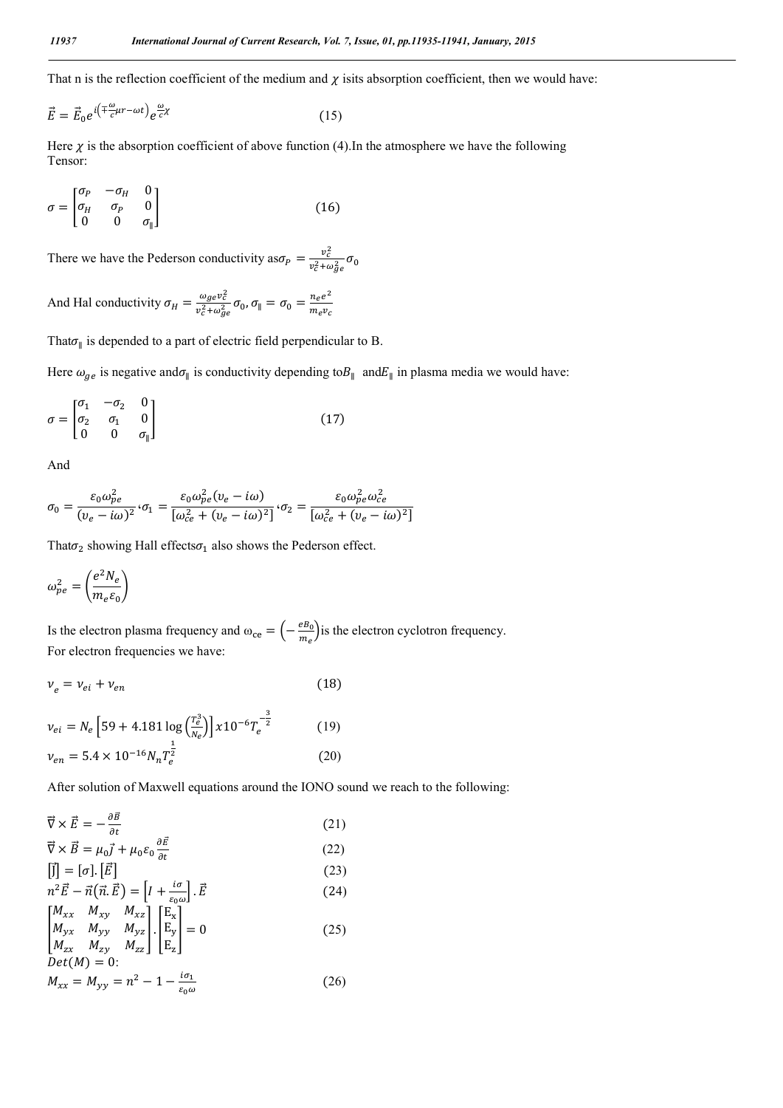That n is the reflection coefficient of the medium and  $\chi$  isits absorption coefficient, then we would have:

$$
\vec{E} = \vec{E}_0 e^{i\left(\mp \frac{\omega}{c}\mu r - \omega t\right)} e^{\frac{\omega}{c} \chi} \tag{15}
$$

Here  $\chi$  is the absorption coefficient of above function (4).In the atmosphere we have the following Tensor:

$$
\sigma = \begin{bmatrix} \sigma_P & -\sigma_H & 0\\ \sigma_H & \sigma_P & 0\\ 0 & 0 & \sigma_{\parallel} \end{bmatrix} \tag{16}
$$

There we have the Pederson conductivity as  $\sigma_P = \frac{v_c^2}{v_{\perp}^2 + c}$  $\frac{v_c}{v_c^2 + \omega_{ge}^2} \sigma_0$ 

And Hal conductivity  $\sigma_H = \frac{\omega_{ge} v_c^2}{v^2 + \omega^2}$  $\frac{\omega_{ge}v_c^2}{v_c^2+\omega_{ge}^2}\sigma_0$ ,  $\sigma_{\parallel}=\sigma_0=\frac{n_ee^2}{m_ev_c}$ 

That $\sigma_{\parallel}$  is depended to a part of electric field perpendicular to B.

Here  $\omega_{ge}$  is negative and $\sigma_{\parallel}$  is conductivity depending to $B_{\parallel}$  and $E_{\parallel}$  in plasma media we would have:

$$
\sigma = \begin{bmatrix} \sigma_1 & -\sigma_2 & 0 \\ \sigma_2 & \sigma_1 & 0 \\ 0 & 0 & \sigma_{\parallel} \end{bmatrix}
$$
 (17)

And

$$
\sigma_0 = \frac{\varepsilon_0 \omega_{pe}^2}{(\nu_e - i\omega)^2} \cdot \sigma_1 = \frac{\varepsilon_0 \omega_{pe}^2 (\nu_e - i\omega)}{[\omega_{ce}^2 + (\nu_e - i\omega)^2]} \cdot \sigma_2 = \frac{\varepsilon_0 \omega_{pe}^2 \omega_{ce}^2}{[\omega_{ce}^2 + (\nu_e - i\omega)^2]}
$$

That  $\sigma_2$  showing Hall effects  $\sigma_1$  also shows the Pederson effect.

$$
\omega_{pe}^2 = \left(\frac{e^2 N_e}{m_e \varepsilon_0}\right)
$$

Is the electron plasma frequency and  $\omega_{ce} = \left(-\frac{eB_0}{m_e}\right)$  is the electron cyclotron frequency. For electron frequencies we have:

$$
\nu_e = \nu_{ei} + \nu_{en} \tag{18}
$$

$$
\nu_{ei} = N_e \left[ 59 + 4.181 \log \left( \frac{T_e^3}{N_e} \right) \right] x 10^{-6} T_e^{-\frac{3}{2}}
$$
(19)  

$$
\nu_{en} = 5.4 \times 10^{-16} N_n T_e^{\frac{1}{2}}
$$
(20)

After solution of Maxwell equations around the IONO sound we reach to the following:

$$
\vec{\nabla} \times \vec{E} = -\frac{\partial \vec{B}}{\partial t}
$$
\n
$$
\vec{\nabla} \times \vec{B} = \mu_0 \vec{j} + \mu_0 \varepsilon_0 \frac{\partial \vec{E}}{\partial t}
$$
\n(21)\n
$$
(22)
$$

$$
\begin{aligned}\n\begin{bmatrix}\n\vec{J}\n\end{bmatrix} &= [\sigma] \cdot [\vec{E}] & (23) \\
n^2 \vec{E} - \vec{n}(\vec{n}.\vec{E}) &= [I + \frac{i\sigma}{\varepsilon_0 \omega}] \cdot \vec{E} & (24) \\
\begin{bmatrix}\nM_{xx} & M_{xy} & M_{xz} \\
M_{yx} & M_{yy} & M_{yz} \\
M_{zx} & M_{zy} & M_{zz}\n\end{bmatrix} \cdot \begin{bmatrix}\nE_x \\
E_y \\
E_z\n\end{bmatrix} &= 0 & (25) \\
Det(M) &= 0: & \\
M_{xx} &= M_{yy} = n^2 - 1 - \frac{i\sigma_1}{\varepsilon_0 \omega} & (26)\n\end{aligned}
$$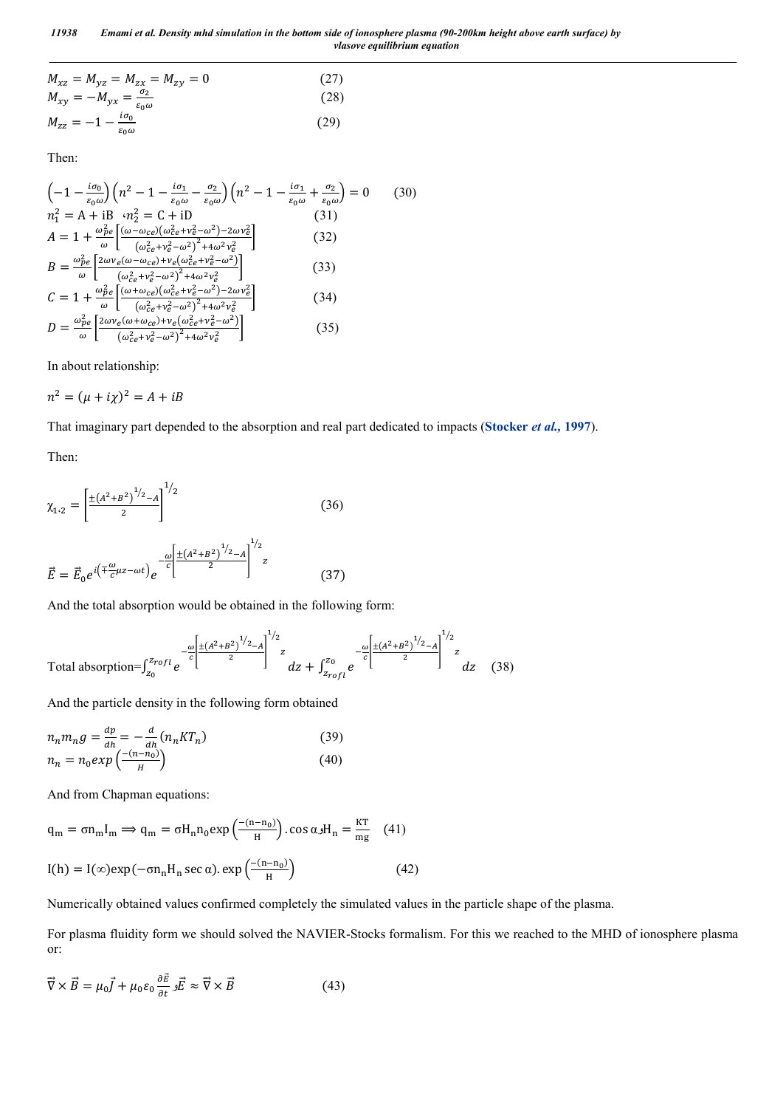*11938 Emami et al. Density mhd simulation in the bottom side of ionosphere plasma (90-200km height above earth surface) by vlasove equilibrium equation*

$$
M_{xz} = M_{yz} = M_{zx} = M_{zy} = 0
$$
\n
$$
M_{xy} = -M_{yx} = \frac{\sigma_2}{\epsilon_0 \omega}
$$
\n
$$
M_{zz} = -1 - \frac{i\sigma_0}{\epsilon_0 \omega}
$$
\n(29)

Then:

$$
\left(-1 - \frac{i\sigma_0}{\varepsilon_0 \omega}\right) \left(n^2 - 1 - \frac{i\sigma_1}{\varepsilon_0 \omega} - \frac{\sigma_2}{\varepsilon_0 \omega}\right) \left(n^2 - 1 - \frac{i\sigma_1}{\varepsilon_0 \omega} + \frac{\sigma_2}{\varepsilon_0 \omega}\right) = 0 \qquad (30)
$$
  
\n
$$
n_1^2 = A + iB \cdot n_2^2 = C + iD \qquad (31)
$$
  
\n
$$
A = 1 + \frac{\omega_{pe}^2}{\omega} \left[ \frac{(\omega - \omega_{ce})(\omega_{ce}^2 + \nu_e^2 - \omega^2) - 2\omega \nu_e^2}{(\omega_{ce}^2 + \nu_e^2 - \omega^2)^2 + 4\omega^2 \nu_e^2} \right] \qquad (32)
$$
  
\n
$$
B = \frac{\omega_{pe}^2}{\omega} \left[ \frac{2\omega \nu_e (\omega - \omega_{ce}) + \nu_e (\omega_{ce}^2 + \nu_e^2 - \omega^2)}{(\omega_{ce}^2 + \nu_e^2 - \omega^2)^2 + 4\omega^2 \nu_e^2} \right] \qquad (33)
$$
  
\n
$$
C = 1 + \frac{\omega_{pe}^2}{\omega} \left[ \frac{(\omega + \omega_{ce})(\omega_{ce}^2 + \nu_e^2 - \omega^2) - 2\omega \nu_e^2}{(\omega_{ce}^2 + \nu_e^2 - \omega^2)^2 + 4\omega^2 \nu_e^2} \right] \qquad (34)
$$
  
\n
$$
D = \frac{\omega_{pe}^2}{\omega} \left[ \frac{2\omega \nu_e (\omega + \omega_{ce}) + \nu_e (\omega_{ce}^2 + \nu_e^2 - \omega^2)}{(\omega_{ce}^2 + \nu_e^2 - \omega^2)^2 + 4\omega^2 \nu_e^2} \right] \qquad (35)
$$

In about relationship:

$$
n^2 = (\mu + i\chi)^2 = A + iB
$$

That imaginary part depended to the absorption and real part dedicated to impacts (**Stocker** *et al.,* **1997**).

Then:

$$
\chi_{1\cdot 2} = \left[\frac{\pm (A^2 + B^2)^{1/2} - A}{2}\right]^{1/2}
$$
\n(36)\n
$$
\vec{E} = \vec{E}_0 e^{i\left(\mp\frac{\omega}{c}\mu z - \omega t\right)} e^{-\frac{\omega}{c}\left[\frac{\pm (A^2 + B^2)^{1/2} - A}{2}\right]^{1/2}z}
$$
\n(37)

And the total absorption would be obtained in the following form:

Total absorption=
$$
\int_{z_0}^{z_{rofl}} e^{-\frac{\omega}{c} \left[ \frac{\pm (A^2 + B^2)^{1/2} - A}{2} \right]^{1/2} z} dz + \int_{z_{rofl}}^{z_0} e^{-\frac{\omega}{c} \left[ \frac{\pm (A^2 + B^2)^{1/2} - A}{2} \right]^{1/2} z} dz
$$
 (38)

And the particle density in the following form obtained

$$
n_n m_n g = \frac{dp}{dh} = -\frac{d}{dh} (n_n KT_n)
$$
  
\n
$$
n_n = n_0 exp\left(\frac{-(n-n_0)}{H}\right)
$$
\n(39)

And from Chapman equations:

$$
q_m = \sigma n_m I_m \Rightarrow q_m = \sigma H_n n_0 \exp\left(\frac{-(n - n_0)}{H}\right) \cdot \cos \alpha J H_n = \frac{KT}{mg} \quad (41)
$$
  
\n
$$
I(h) = I(\infty) \exp(-\sigma n_n H_n \sec \alpha) \cdot \exp\left(\frac{-(n - n_0)}{H}\right) \tag{42}
$$

Numerically obtained values confirmed completely the simulated values in the particle shape of the plasma.

For plasma fluidity form we should solved the NAVIER-Stocks formalism. For this we reached to the MHD of ionosphere plasma or:

$$
\vec{\nabla} \times \vec{B} = \mu_0 \vec{J} + \mu_0 \varepsilon_0 \frac{\partial \vec{E}}{\partial t} \cdot \vec{E} \approx \vec{\nabla} \times \vec{B}
$$
(43)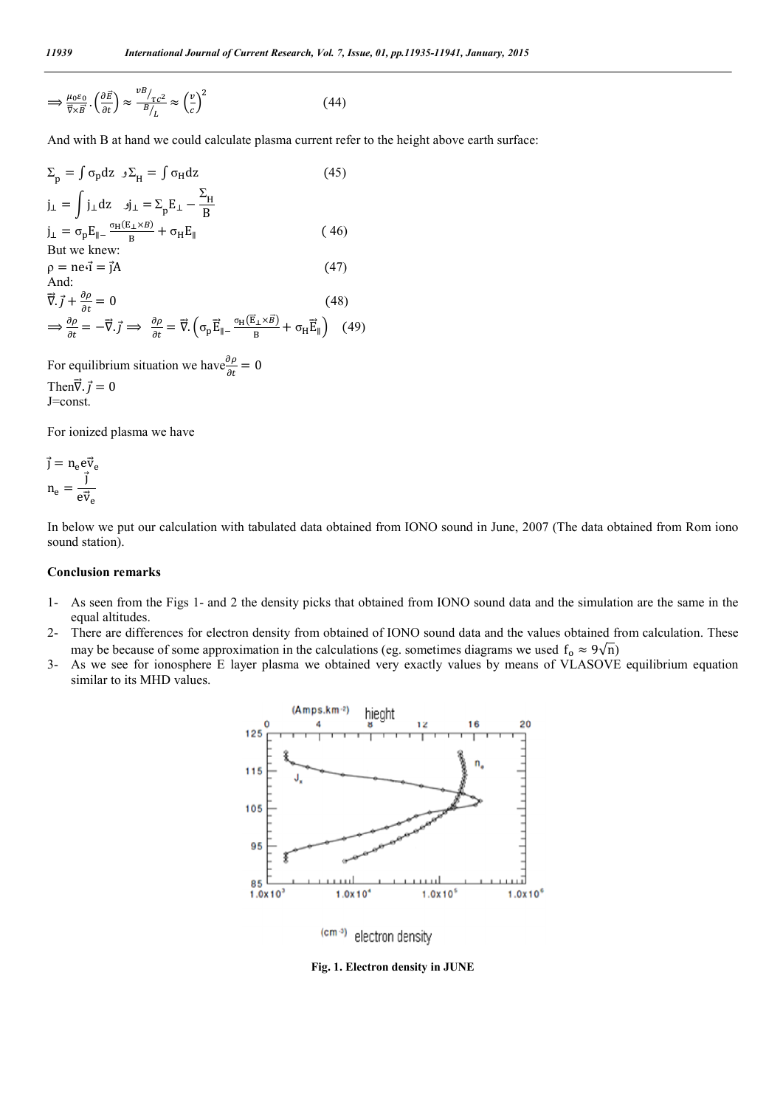$$
\implies \frac{\mu_0 \varepsilon_0}{\vec{\nabla} \times \vec{B}} \cdot \left(\frac{\partial \vec{E}}{\partial t}\right) \approx \frac{v^B /_{\tau c^2}}{B /_{L}} \approx \left(\frac{v}{c}\right)^2 \tag{44}
$$

And with B at hand we could calculate plasma current refer to the height above earth surface:

$$
\Sigma_{\rm p} = \int \sigma_{\rm p} dz \, \, J \Sigma_{\rm H} = \int \sigma_{\rm H} dz \tag{45}
$$
\n
$$
j_{\perp} = \int j_{\perp} dz \, \, J_{\perp} = \Sigma_{\rm p} E_{\perp} - \frac{\Sigma_{\rm H}}{B}
$$
\n
$$
j_{\perp} = \sigma_{\rm p} E_{\parallel} - \frac{\sigma_{\rm H} (E_{\perp} \times B)}{B} + \sigma_{\rm H} E_{\parallel} \tag{46}
$$
\nBut we knew:\n
$$
\rho = \text{ne} \vec{i} = \vec{j} A \tag{47}
$$
\nAnd:\n
$$
\vec{\nabla} \cdot \vec{j} + \frac{\partial \rho}{\partial t} = 0 \tag{48}
$$
\n
$$
\Rightarrow \frac{\partial \rho}{\partial t} = -\vec{\nabla} \cdot \vec{j} \implies \frac{\partial \rho}{\partial t} = \vec{\nabla} \cdot \left( \sigma_{\rm p} \vec{E}_{\parallel} - \frac{\sigma_{\rm H} (\vec{E}_{\perp} \times \vec{B})}{B} + \sigma_{\rm H} \vec{E}_{\parallel} \right) \tag{49}
$$

For equilibrium situation we have  $\frac{\partial \rho}{\partial t} = 0$ Then $\vec{\nabla} \cdot \vec{j} = 0$ 

J=const.

For ionized plasma we have

$$
\vec{j} = n_e e \vec{v}_e
$$

$$
n_e = \frac{\vec{j}}{e \vec{v}_e}
$$

In below we put our calculation with tabulated data obtained from IONO sound in June, 2007 (The data obtained from Rom iono sound station).

#### **Conclusion remarks**

- 1- As seen from the Figs 1- and 2 the density picks that obtained from IONO sound data and the simulation are the same in the equal altitudes.
- 2- There are differences for electron density from obtained of IONO sound data and the values obtained from calculation. These may be because of some approximation in the calculations (eg. sometimes diagrams we used  $f_0 \approx 9\sqrt{n}$ )
- 3- As we see for ionosphere E layer plasma we obtained very exactly values by means of VLASOVE equilibrium equation similar to its MHD values.



 $(cm -3)$ electron density

**Fig. 1. Electron density in JUNE**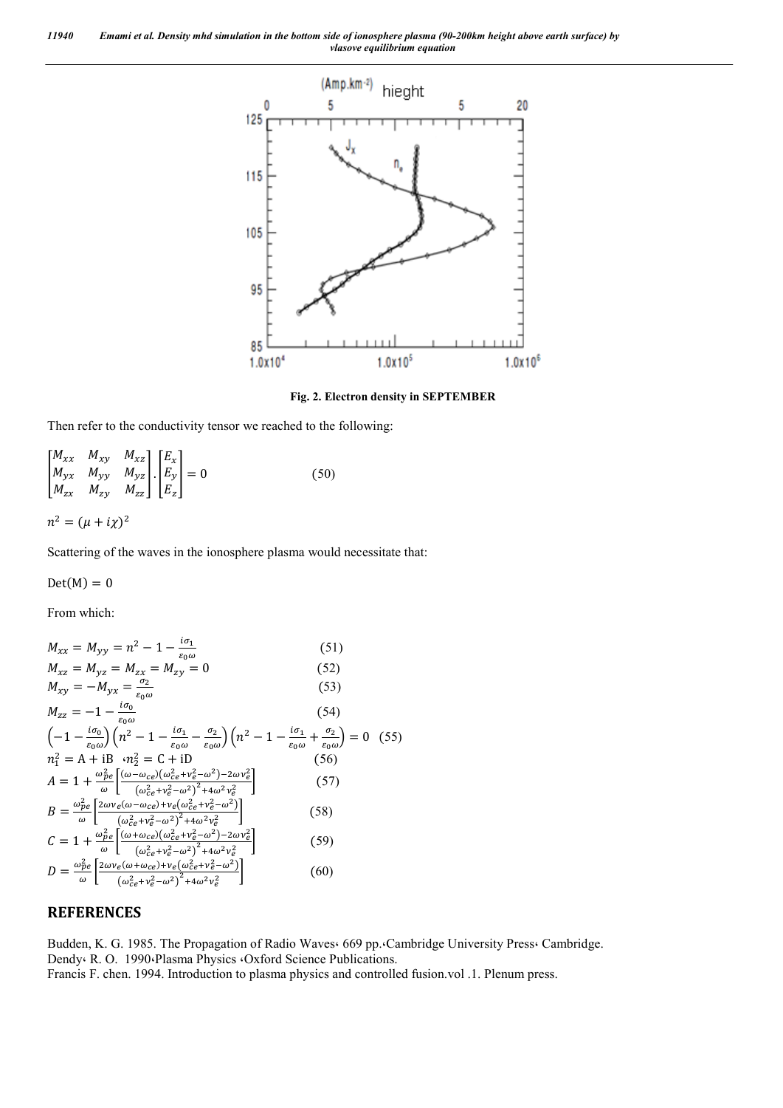*11940 Emami et al. Density mhd simulation in the bottom side of ionosphere plasma (90-200km height above earth surface) by vlasove equilibrium equation*



**Fig. 2. Electron density in SEPTEMBER**

Then refer to the conductivity tensor we reached to the following:

$$
\begin{bmatrix}\nM_{xx} & M_{xy} & M_{xz} \\
M_{yx} & M_{yy} & M_{yz} \\
M_{zx} & M_{zy} & M_{zz}\n\end{bmatrix}\n\cdot\n\begin{bmatrix}\nE_x \\
E_y \\
E_z\n\end{bmatrix} = 0
$$
\n(50)\n  
\n
$$
n^2 = (\mu + i\chi)^2
$$

Scattering of the waves in the ionosphere plasma would necessitate that:

 $Det(M) = 0$ 

From which:

$$
M_{xx} = M_{yy} = n^2 - 1 - \frac{i\sigma_1}{\epsilon_0 \omega}
$$
(51)  
\n
$$
M_{xz} = M_{yz} = M_{zx} = M_{zy} = 0
$$
(52)  
\n
$$
M_{xy} = -M_{yx} = \frac{\sigma_2}{\epsilon_0 \omega}
$$
(53)  
\n
$$
M_{zz} = -1 - \frac{i\sigma_0}{\epsilon_0 \omega}
$$
(54)  
\n
$$
\left(-1 - \frac{i\sigma_0}{\epsilon_0 \omega}\right) \left(n^2 - 1 - \frac{i\sigma_1}{\epsilon_0 \omega} - \frac{\sigma_2}{\epsilon_0 \omega}\right) \left(n^2 - 1 - \frac{i\sigma_1}{\epsilon_0 \omega} + \frac{\sigma_2}{\epsilon_0 \omega}\right) = 0
$$
(55)  
\n
$$
n_1^2 = A + iB \cdot n_2^2 = C + iD
$$
(56)  
\n
$$
A = 1 + \frac{\omega_{pe}^2}{\omega} \left[ \frac{(\omega - \omega_{ce})(\omega_{ce}^2 + v_e^2 - \omega^2) - 2\omega v_e^2}{(\omega_{ce}^2 + v_e^2 - \omega^2)^2 + 4\omega^2 v_e^2} \right]
$$
(57)  
\n
$$
B = \frac{\omega_{pe}^2}{\omega} \left[ \frac{2\omega v_e (\omega - \omega_{ce}) + v_e (\omega_{ce}^2 + v_e^2 - \omega^2)}{(\omega_{ce}^2 + v_e^2 - \omega^2)^2 + 4\omega^2 v_e^2} \right]
$$
(58)  
\n
$$
C = 1 + \frac{\omega_{pe}^2}{\omega} \left[ \frac{(\omega + \omega_{ce})(\omega_{ce}^2 + v_e^2 - \omega^2)^2 - 2\omega v_e^2}{(\omega_{ce}^2 + v_e^2 - \omega^2)^2 + 4\omega^2 v_e^2} \right]
$$
(59)  
\n
$$
D = \frac{\omega_{pe}^2}{\omega} \left[ \frac{2\omega v_e (\omega + \omega_{ce}) + v_e (\omega_{ce}^2 + v_e^2 - \omega^2)}{(\omega_{ce}^2 + v_e^2 - \omega^2)^2 + 4\omega^2 v_e^2} \right]
$$
(60)

#### **REFERENCES**

Budden, K. G. 1985. The Propagation of Radio Waves 669 pp. Cambridge University Press Cambridge. Dendy<sup>,</sup> R. O. 1990<sup>, Plasma Physics  $\cdot$ Oxford Science Publications.</sup> Francis F. chen. 1994. Introduction to plasma physics and controlled fusion.vol .1. Plenum press.